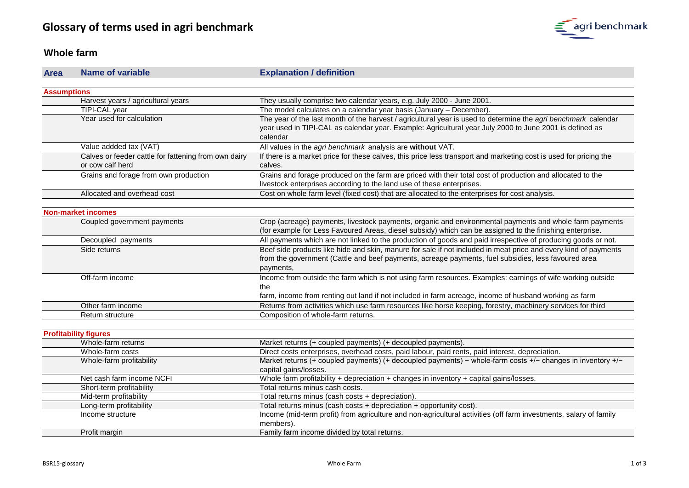

#### **Whole farm**

| <b>Area</b>        | <b>Name of variable</b>                                                  | <b>Explanation / definition</b>                                                                                                                                                                                                       |
|--------------------|--------------------------------------------------------------------------|---------------------------------------------------------------------------------------------------------------------------------------------------------------------------------------------------------------------------------------|
|                    |                                                                          |                                                                                                                                                                                                                                       |
| <b>Assumptions</b> |                                                                          |                                                                                                                                                                                                                                       |
|                    | Harvest years / agricultural years                                       | They usually comprise two calendar years, e.g. July 2000 - June 2001.                                                                                                                                                                 |
|                    | TIPI-CAL year                                                            | The model calculates on a calendar year basis (January - December).                                                                                                                                                                   |
|                    | Year used for calculation                                                | The year of the last month of the harvest / agricultural year is used to determine the agri benchmark calendar<br>year used in TIPI-CAL as calendar year. Example: Agricultural year July 2000 to June 2001 is defined as<br>calendar |
|                    | Value addded tax (VAT)                                                   | All values in the agri benchmark analysis are without VAT.                                                                                                                                                                            |
|                    | Calves or feeder cattle for fattening from own dairy<br>or cow calf herd | If there is a market price for these calves, this price less transport and marketing cost is used for pricing the<br>calves.                                                                                                          |
|                    | Grains and forage from own production                                    | Grains and forage produced on the farm are priced with their total cost of production and allocated to the<br>livestock enterprises according to the land use of these enterprises.                                                   |
|                    | Allocated and overhead cost                                              | Cost on whole farm level (fixed cost) that are allocated to the enterprises for cost analysis.                                                                                                                                        |
|                    |                                                                          |                                                                                                                                                                                                                                       |
|                    | <b>Non-market incomes</b>                                                |                                                                                                                                                                                                                                       |
|                    | Coupled government payments                                              | Crop (acreage) payments, livestock payments, organic and environmental payments and whole farm payments<br>(for example for Less Favoured Areas, diesel subsidy) which can be assigned to the finishing enterprise.                   |
|                    | Decoupled payments                                                       | All payments which are not linked to the production of goods and paid irrespective of producing goods or not.                                                                                                                         |
|                    | Side returns                                                             | Beef side products like hide and skin, manure for sale if not included in meat price and every kind of payments<br>from the government (Cattle and beef payments, acreage payments, fuel subsidies, less favoured area<br>payments,   |
|                    | Off-farm income                                                          | Income from outside the farm which is not using farm resources. Examples: earnings of wife working outside<br>the<br>farm, income from renting out land if not included in farm acreage, income of husband working as farm            |
|                    | Other farm income                                                        | Returns from activities which use farm resources like horse keeping, forestry, machinery services for third                                                                                                                           |
|                    | Return structure                                                         | Composition of whole-farm returns.                                                                                                                                                                                                    |
|                    |                                                                          |                                                                                                                                                                                                                                       |
|                    | <b>Profitability figures</b>                                             |                                                                                                                                                                                                                                       |
|                    | Whole-farm returns                                                       | Market returns (+ coupled payments) (+ decoupled payments).                                                                                                                                                                           |
|                    | Whole-farm costs                                                         | Direct costs enterprises, overhead costs, paid labour, paid rents, paid interest, depreciation.                                                                                                                                       |
|                    | Whole-farm profitability                                                 | Market returns (+ coupled payments) (+ decoupled payments) - whole-farm costs +/- changes in inventory +/-<br>capital gains/losses.                                                                                                   |
|                    | Net cash farm income NCFI                                                | Whole farm profitability + depreciation + changes in inventory + capital gains/losses.                                                                                                                                                |
|                    | Short-term profitability                                                 | Total returns minus cash costs.                                                                                                                                                                                                       |
|                    | Mid-term profitability                                                   | Total returns minus (cash costs + depreciation).                                                                                                                                                                                      |
|                    | Long-term profitability                                                  | Total returns minus (cash costs + depreciation + opportunity cost).                                                                                                                                                                   |
|                    | Income structure                                                         | Income (mid-term profit) from agriculture and non-agricultural activities (off farm investments, salary of family<br>members).                                                                                                        |
|                    | Profit margin                                                            | Family farm income divided by total returns.                                                                                                                                                                                          |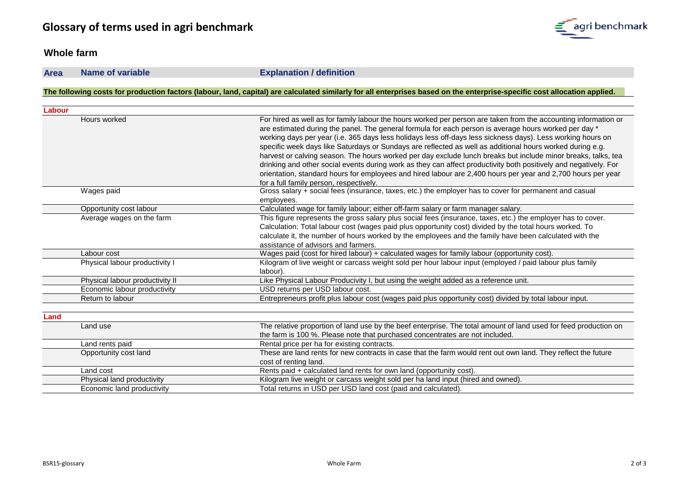#### **Whole farm**

**Area Name of variable Explanation / definition**

#### **The following costs for production factors (labour, land, capital) are calculated similarly for all enterprises based on the enterprise-specific cost allocation applied.**

| Labour |                                 |                                                                                                                                                                                                                                                                                                                                                                                                                                                                                                                                                                                                                                                                                                                                                                                                                                                      |
|--------|---------------------------------|------------------------------------------------------------------------------------------------------------------------------------------------------------------------------------------------------------------------------------------------------------------------------------------------------------------------------------------------------------------------------------------------------------------------------------------------------------------------------------------------------------------------------------------------------------------------------------------------------------------------------------------------------------------------------------------------------------------------------------------------------------------------------------------------------------------------------------------------------|
|        | Hours worked                    | For hired as well as for family labour the hours worked per person are taken from the accounting information or<br>are estimated during the panel. The general formula for each person is average hours worked per day *<br>working days per year (i.e. 365 days less holidays less off-days less sickness days). Less working hours on<br>specific week days like Saturdays or Sundays are reflected as well as additional hours worked during e.g.<br>harvest or calving season. The hours worked per day exclude lunch breaks but include minor breaks, talks, tea<br>drinking and other social events during work as they can affect productivity both positively and negatively. For<br>orientation, standard hours for employees and hired labour are 2,400 hours per year and 2,700 hours per year<br>for a full family person, respectively. |
|        | Wages paid                      | Gross salary + social fees (insurance, taxes, etc.) the employer has to cover for permanent and casual<br>employees.                                                                                                                                                                                                                                                                                                                                                                                                                                                                                                                                                                                                                                                                                                                                 |
|        | Opportunity cost labour         | Calculated wage for family labour; either off-farm salary or farm manager salary.                                                                                                                                                                                                                                                                                                                                                                                                                                                                                                                                                                                                                                                                                                                                                                    |
|        | Average wages on the farm       | This figure represents the gross salary plus social fees (insurance, taxes, etc.) the employer has to cover.<br>Calculation: Total labour cost (wages paid plus opportunity cost) divided by the total hours worked. To<br>calculate it, the number of hours worked by the employees and the family have been calculated with the<br>assistance of advisors and farmers.                                                                                                                                                                                                                                                                                                                                                                                                                                                                             |
|        | Labour cost                     | Wages paid (cost for hired labour) + calculated wages for family labour (opportunity cost).                                                                                                                                                                                                                                                                                                                                                                                                                                                                                                                                                                                                                                                                                                                                                          |
|        | Physical labour productivity I  | Kilogram of live weight or carcass weight sold per hour labour input (employed / paid labour plus family<br>labour).                                                                                                                                                                                                                                                                                                                                                                                                                                                                                                                                                                                                                                                                                                                                 |
|        | Physical labour productivity II | Like Physical Labour Producivity I, but using the weight added as a reference unit.                                                                                                                                                                                                                                                                                                                                                                                                                                                                                                                                                                                                                                                                                                                                                                  |
|        | Economic labour productivity    | USD returns per USD labour cost.                                                                                                                                                                                                                                                                                                                                                                                                                                                                                                                                                                                                                                                                                                                                                                                                                     |
|        | Return to labour                | Entrepreneurs profit plus labour cost (wages paid plus opportunity cost) divided by total labour input.                                                                                                                                                                                                                                                                                                                                                                                                                                                                                                                                                                                                                                                                                                                                              |
| Land   |                                 |                                                                                                                                                                                                                                                                                                                                                                                                                                                                                                                                                                                                                                                                                                                                                                                                                                                      |
|        | Land use                        | The relative proportion of land use by the beef enterprise. The total amount of land used for feed production on<br>the farm is 100 %. Please note that purchased concentrates are not included.                                                                                                                                                                                                                                                                                                                                                                                                                                                                                                                                                                                                                                                     |
|        | Land rents paid                 | Rental price per ha for existing contracts.                                                                                                                                                                                                                                                                                                                                                                                                                                                                                                                                                                                                                                                                                                                                                                                                          |
|        | Opportunity cost land           | These are land rents for new contracts in case that the farm would rent out own land. They reflect the future<br>cost of renting land.                                                                                                                                                                                                                                                                                                                                                                                                                                                                                                                                                                                                                                                                                                               |
|        | Land cost                       | Rents paid + calculated land rents for own land (opportunity cost).                                                                                                                                                                                                                                                                                                                                                                                                                                                                                                                                                                                                                                                                                                                                                                                  |
|        | Physical land productivity      | Kilogram live weight or carcass weight sold per ha land input (hired and owned).                                                                                                                                                                                                                                                                                                                                                                                                                                                                                                                                                                                                                                                                                                                                                                     |
|        | Economic land productivity      | Total returns in USD per USD land cost (paid and calculated).                                                                                                                                                                                                                                                                                                                                                                                                                                                                                                                                                                                                                                                                                                                                                                                        |

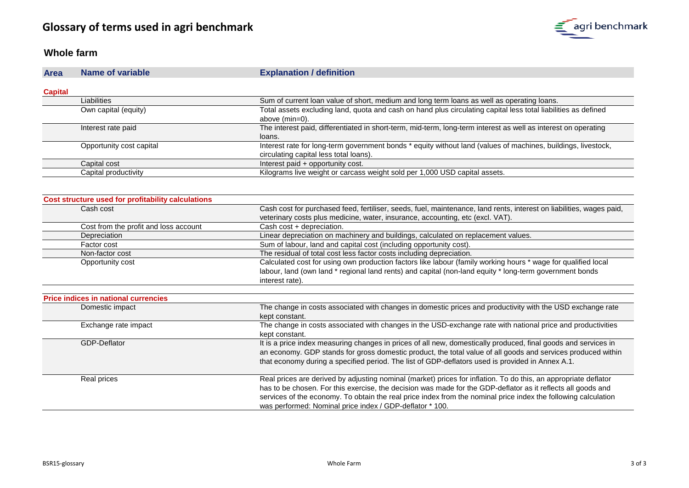

#### **Whole farm**

| <b>Area</b>    | Name of variable         | <b>Explanation / definition</b>                                                                                                                         |
|----------------|--------------------------|---------------------------------------------------------------------------------------------------------------------------------------------------------|
| <b>Capital</b> |                          |                                                                                                                                                         |
|                | Liabilities              | Sum of current loan value of short, medium and long term loans as well as operating loans.                                                              |
|                | Own capital (equity)     | Total assets excluding land, quota and cash on hand plus circulating capital less total liabilities as defined<br>above (min=0).                        |
|                | Interest rate paid       | The interest paid, differentiated in short-term, mid-term, long-term interest as well as interest on operating<br>loans.                                |
|                | Opportunity cost capital | Interest rate for long-term government bonds * equity without land (values of machines, buildings, livestock,<br>circulating capital less total loans). |
|                | Capital cost             | Interest paid + opportunity cost.                                                                                                                       |
|                | Capital productivity     | Kilograms live weight or carcass weight sold per 1,000 USD capital assets.                                                                              |

| Cost structure used for profitability calculations |                                                                                                                                                                            |
|----------------------------------------------------|----------------------------------------------------------------------------------------------------------------------------------------------------------------------------|
| Cash cost                                          | Cash cost for purchased feed, fertiliser, seeds, fuel, maintenance, land rents, interest on liabilities, wages paid,                                                       |
|                                                    | veterinary costs plus medicine, water, insurance, accounting, etc (excl. VAT).                                                                                             |
| Cost from the profit and loss account              | Cash cost + depreciation.                                                                                                                                                  |
| Depreciation                                       | Linear depreciation on machinery and buildings, calculated on replacement values.                                                                                          |
| Factor cost                                        | Sum of labour, land and capital cost (including opportunity cost).                                                                                                         |
| Non-factor cost                                    | The residual of total cost less factor costs including depreciation.                                                                                                       |
| Opportunity cost                                   | Calculated cost for using own production factors like labour (family working hours * wage for qualified local                                                              |
|                                                    | labour, land (own land * regional land rents) and capital (non-land equity * long-term government bonds                                                                    |
|                                                    | interest rate).                                                                                                                                                            |
|                                                    |                                                                                                                                                                            |
| <b>Price indices in national currencies</b>        |                                                                                                                                                                            |
| Domestic impact                                    | The change in costs associated with changes in domestic prices and productivity with the USD exchange rate<br>kept constant.                                               |
| Exchange rate impact                               | The change in costs associated with changes in the USD-exchange rate with national price and productivities<br>kept constant.                                              |
| GDP-Deflator                                       | It is a price index measuring changes in prices of all new, domestically produced, final goods and services in                                                             |
|                                                    | an economy. GDP stands for gross domestic product, the total value of all goods and services produced within                                                               |
|                                                    | that economy during a specified period. The list of GDP-deflators used is provided in Annex A.1.                                                                           |
| Real prices                                        | Real prices are derived by adjusting nominal (market) prices for inflation. To do this, an appropriate deflator                                                            |
|                                                    | has to be chosen. For this exercise, the decision was made for the GDP-deflator as it reflects all goods and                                                               |
|                                                    | services of the economy. To obtain the real price index from the nominal price index the following calculation<br>was performed: Nominal price index / GDP-deflator * 100. |
|                                                    |                                                                                                                                                                            |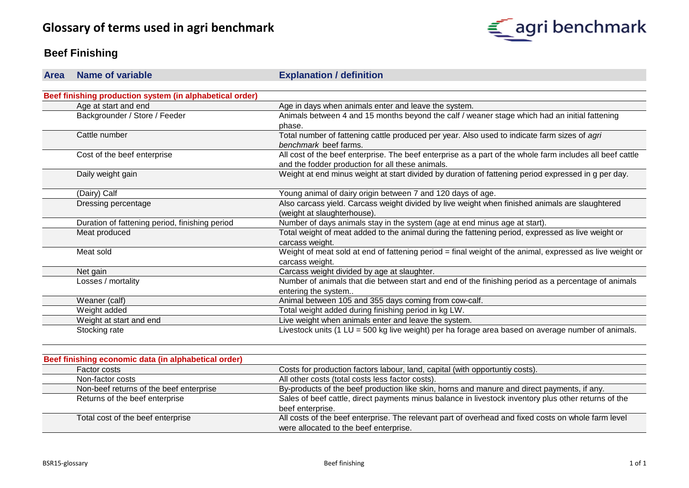

# **Beef Finishing**

| <b>Area</b> | <b>Name of variable</b>                                  | <b>Explanation / definition</b>                                                                           |
|-------------|----------------------------------------------------------|-----------------------------------------------------------------------------------------------------------|
|             |                                                          |                                                                                                           |
|             | Beef finishing production system (in alphabetical order) |                                                                                                           |
|             | Age at start and end                                     | Age in days when animals enter and leave the system.                                                      |
|             | Backgrounder / Store / Feeder                            | Animals between 4 and 15 months beyond the calf / weaner stage which had an initial fattening             |
|             |                                                          | phase.                                                                                                    |
|             | Cattle number                                            | Total number of fattening cattle produced per year. Also used to indicate farm sizes of agri              |
|             |                                                          | benchmark beef farms.                                                                                     |
|             | Cost of the beef enterprise                              | All cost of the beef enterprise. The beef enterprise as a part of the whole farm includes all beef cattle |
|             |                                                          | and the fodder production for all these animals.                                                          |
|             | Daily weight gain                                        | Weight at end minus weight at start divided by duration of fattening period expressed in g per day.       |
|             |                                                          |                                                                                                           |
|             | (Dairy) Calf                                             | Young animal of dairy origin between 7 and 120 days of age.                                               |
|             | Dressing percentage                                      | Also carcass yield. Carcass weight divided by live weight when finished animals are slaughtered           |
|             |                                                          | (weight at slaughterhouse).                                                                               |
|             | Duration of fattening period, finishing period           | Number of days animals stay in the system (age at end minus age at start).                                |
|             | Meat produced                                            | Total weight of meat added to the animal during the fattening period, expressed as live weight or         |
|             |                                                          | carcass weight.                                                                                           |
|             | Meat sold                                                | Weight of meat sold at end of fattening period = final weight of the animal, expressed as live weight or  |
|             |                                                          | carcass weight.                                                                                           |
|             | Net gain                                                 | Carcass weight divided by age at slaughter.                                                               |
|             | Losses / mortality                                       | Number of animals that die between start and end of the finishing period as a percentage of animals       |
|             |                                                          | entering the system                                                                                       |
|             | Weaner (calf)                                            | Animal between 105 and 355 days coming from cow-calf.                                                     |
|             | Weight added                                             | Total weight added during finishing period in kg LW.                                                      |
|             | Weight at start and end                                  | Live weight when animals enter and leave the system.                                                      |
|             | Stocking rate                                            | Livestock units (1 LU = 500 kg live weight) per ha forage area based on average number of animals.        |
|             |                                                          |                                                                                                           |

| Beef finishing economic data (in alphabetical order) |                                                                                                      |  |
|------------------------------------------------------|------------------------------------------------------------------------------------------------------|--|
| Factor costs                                         | Costs for production factors labour, land, capital (with opportuntly costs).                         |  |
| Non-factor costs                                     | All other costs (total costs less factor costs).                                                     |  |
| Non-beef returns of the beef enterprise              | By-products of the beef production like skin, horns and manure and direct payments, if any.          |  |
| Returns of the beef enterprise                       | Sales of beef cattle, direct payments minus balance in livestock inventory plus other returns of the |  |
|                                                      | beef enterprise.                                                                                     |  |
| Total cost of the beef enterprise                    | All costs of the beef enterprise. The relevant part of overhead and fixed costs on whole farm level  |  |
|                                                      | were allocated to the beef enterprise.                                                               |  |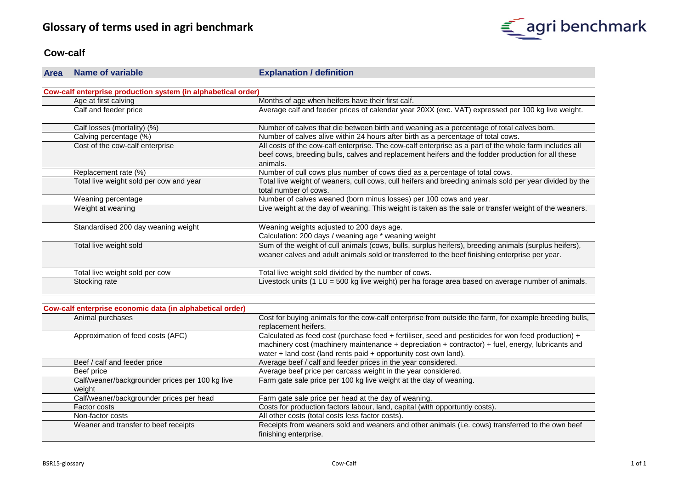

#### **Cow-calf**

#### **Area Name of variable Explanation / definition**

| Cow-calf enterprise production system (in alphabetical order) |                                                                                                                                                                                                         |  |
|---------------------------------------------------------------|---------------------------------------------------------------------------------------------------------------------------------------------------------------------------------------------------------|--|
| Age at first calving                                          | Months of age when heifers have their first calf.                                                                                                                                                       |  |
| Calf and feeder price                                         | Average calf and feeder prices of calendar year 20XX (exc. VAT) expressed per 100 kg live weight.                                                                                                       |  |
| Calf losses (mortality) (%)                                   | Number of calves that die between birth and weaning as a percentage of total calves born.                                                                                                               |  |
| Calving percentage (%)                                        | Number of calves alive within 24 hours after birth as a percentage of total cows.                                                                                                                       |  |
| Cost of the cow-calf enterprise                               | All costs of the cow-calf enterprise. The cow-calf enterprise as a part of the whole farm includes all                                                                                                  |  |
|                                                               | beef cows, breeding bulls, calves and replacement heifers and the fodder production for all these<br>animals.                                                                                           |  |
| Replacement rate (%)                                          | Number of cull cows plus number of cows died as a percentage of total cows.                                                                                                                             |  |
| Total live weight sold per cow and year                       | Total live weight of weaners, cull cows, cull heifers and breeding animals sold per year divided by the<br>total number of cows.                                                                        |  |
| Weaning percentage                                            | Number of calves weaned (born minus losses) per 100 cows and year.                                                                                                                                      |  |
| Weight at weaning                                             | Live weight at the day of weaning. This weight is taken as the sale or transfer weight of the weaners.                                                                                                  |  |
| Standardised 200 day weaning weight                           | Weaning weights adjusted to 200 days age.                                                                                                                                                               |  |
|                                                               | Calculation: 200 days / weaning age * weaning weight                                                                                                                                                    |  |
| Total live weight sold                                        | Sum of the weight of cull animals (cows, bulls, surplus heifers), breeding animals (surplus heifers),<br>weaner calves and adult animals sold or transferred to the beef finishing enterprise per year. |  |
| Total live weight sold per cow                                | Total live weight sold divided by the number of cows.                                                                                                                                                   |  |
| Stocking rate                                                 | Livestock units (1 LU = 500 kg live weight) per ha forage area based on average number of animals.                                                                                                      |  |

| Cow-calf enterprise economic data (in alphabetical order) |                                                                                                        |  |
|-----------------------------------------------------------|--------------------------------------------------------------------------------------------------------|--|
| Animal purchases                                          | Cost for buying animals for the cow-calf enterprise from outside the farm, for example breeding bulls, |  |
|                                                           | replacement heifers.                                                                                   |  |
| Approximation of feed costs (AFC)                         | Calculated as feed cost (purchase feed + fertiliser, seed and pesticides for won feed production) +    |  |
|                                                           | machinery cost (machinery maintenance + depreciation + contractor) + fuel, energy, lubricants and      |  |
|                                                           | water + land cost (land rents paid + opportunity cost own land).                                       |  |
| Beef / calf and feeder price                              | Average beef / calf and feeder prices in the year considered.                                          |  |
| Beef price                                                | Average beef price per carcass weight in the year considered.                                          |  |
| Calf/weaner/backgrounder prices per 100 kg live           | Farm gate sale price per 100 kg live weight at the day of weaning.                                     |  |
| weight                                                    |                                                                                                        |  |
| Calf/weaner/backgrounder prices per head                  | Farm gate sale price per head at the day of weaning.                                                   |  |
| Factor costs                                              | Costs for production factors labour, land, capital (with opportuntiy costs).                           |  |
| Non-factor costs                                          | All other costs (total costs less factor costs).                                                       |  |
| Weaner and transfer to beef receipts                      | Receipts from weaners sold and weaners and other animals (i.e. cows) transferred to the own beef       |  |
|                                                           | finishing enterprise.                                                                                  |  |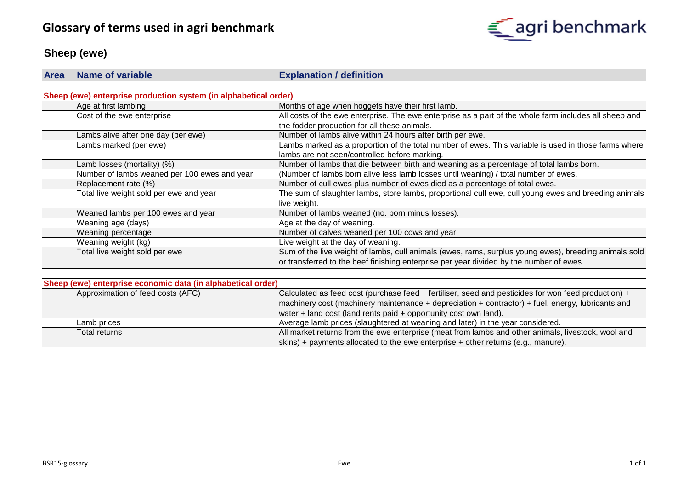# **Glossary of terms used in agri benchmark**



# **Sheep (ewe)**

| <b>Area</b> | Name of variable                                                 | <b>Explanation / definition</b>                                                                        |
|-------------|------------------------------------------------------------------|--------------------------------------------------------------------------------------------------------|
|             |                                                                  |                                                                                                        |
|             | Sheep (ewe) enterprise production system (in alphabetical order) |                                                                                                        |
|             | Age at first lambing                                             | Months of age when hoggets have their first lamb.                                                      |
|             | Cost of the ewe enterprise                                       | All costs of the ewe enterprise. The ewe enterprise as a part of the whole farm includes all sheep and |
|             |                                                                  | the fodder production for all these animals.                                                           |
|             | Lambs alive after one day (per ewe)                              | Number of lambs alive within 24 hours after birth per ewe.                                             |
|             | Lambs marked (per ewe)                                           | Lambs marked as a proportion of the total number of ewes. This variable is used in those farms where   |
|             |                                                                  | lambs are not seen/controlled before marking.                                                          |
|             | Lamb losses (mortality) (%)                                      | Number of lambs that die between birth and weaning as a percentage of total lambs born.                |
|             | Number of lambs weaned per 100 ewes and year                     | (Number of lambs born alive less lamb losses until weaning) / total number of ewes.                    |
|             | Replacement rate (%)                                             | Number of cull ewes plus number of ewes died as a percentage of total ewes.                            |
|             | Total live weight sold per ewe and year                          | The sum of slaughter lambs, store lambs, proportional cull ewe, cull young ewes and breeding animals   |
|             |                                                                  | live weight.                                                                                           |
|             | Weaned lambs per 100 ewes and year                               | Number of lambs weaned (no. born minus losses).                                                        |
|             | Weaning age (days)                                               | Age at the day of weaning.                                                                             |
|             | Weaning percentage                                               | Number of calves weaned per 100 cows and year.                                                         |
|             | Weaning weight (kg)                                              | Live weight at the day of weaning.                                                                     |
|             | Total live weight sold per ewe                                   | Sum of the live weight of lambs, cull animals (ewes, rams, surplus young ewes), breeding animals sold  |
|             |                                                                  | or transferred to the beef finishing enterprise per year divided by the number of ewes.                |

| Sheep (ewe) enterprise economic data (in alphabetical order) |                                                                                                     |
|--------------------------------------------------------------|-----------------------------------------------------------------------------------------------------|
| Approximation of feed costs (AFC)                            | Calculated as feed cost (purchase feed + fertiliser, seed and pesticides for won feed production) + |
|                                                              | machinery cost (machinery maintenance + depreciation + contractor) + fuel, energy, lubricants and   |
|                                                              | water + land cost (land rents paid + opportunity cost own land).                                    |
| Lamb prices                                                  | Average lamb prices (slaughtered at weaning and later) in the year considered.                      |
| Total returns                                                | All market returns from the ewe enterprise (meat from lambs and other animals, livestock, wool and  |
|                                                              | skins) + payments allocated to the ewe enterprise + other returns (e.g., manure).                   |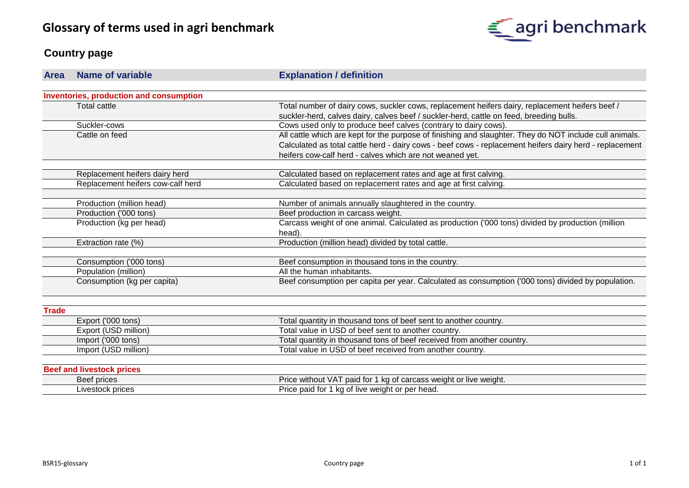

## **Country page**

| <b>Area</b>  | <b>Name of variable</b>                 | <b>Explanation / definition</b>                                                                         |
|--------------|-----------------------------------------|---------------------------------------------------------------------------------------------------------|
|              |                                         |                                                                                                         |
|              | Inventories, production and consumption |                                                                                                         |
|              | <b>Total cattle</b>                     | Total number of dairy cows, suckler cows, replacement heifers dairy, replacement heifers beef /         |
|              |                                         | suckler-herd, calves dairy, calves beef / suckler-herd, cattle on feed, breeding bulls.                 |
|              | Suckler-cows                            | Cows used only to produce beef calves (contrary to dairy cows).                                         |
|              | Cattle on feed                          | All cattle which are kept for the purpose of finishing and slaughter. They do NOT include cull animals. |
|              |                                         | Calculated as total cattle herd - dairy cows - beef cows - replacement heifers dairy herd - replacement |
|              |                                         | heifers cow-calf herd - calves which are not weaned yet.                                                |
|              | Replacement heifers dairy herd          | Calculated based on replacement rates and age at first calving.                                         |
|              | Replacement heifers cow-calf herd       | Calculated based on replacement rates and age at first calving.                                         |
|              |                                         |                                                                                                         |
|              | Production (million head)               | Number of animals annually slaughtered in the country.                                                  |
|              | Production ('000 tons)                  | Beef production in carcass weight.                                                                      |
|              | Production (kg per head)                | Carcass weight of one animal. Calculated as production ('000 tons) divided by production (million       |
|              |                                         | head).                                                                                                  |
|              | Extraction rate (%)                     | Production (million head) divided by total cattle.                                                      |
|              | Consumption ('000 tons)                 | Beef consumption in thousand tons in the country.                                                       |
|              | Population (million)                    | All the human inhabitants.                                                                              |
|              | Consumption (kg per capita)             | Beef consumption per capita per year. Calculated as consumption ('000 tons) divided by population.      |
|              |                                         |                                                                                                         |
| <b>Trade</b> |                                         |                                                                                                         |
|              | Export ('000 tons)                      | Total quantity in thousand tons of beef sent to another country.                                        |
|              | Export (USD million)                    | Total value in USD of beef sent to another country.                                                     |
|              | Import ('000 tons)                      | Total quantity in thousand tons of beef received from another country.                                  |
|              | Import (USD million)                    | Total value in USD of beef received from another country.                                               |
|              |                                         |                                                                                                         |
|              | <b>Beef and livestock prices</b>        |                                                                                                         |
|              | Beef prices                             | Price without VAT paid for 1 kg of carcass weight or live weight.                                       |
|              | Livestock prices                        | Price paid for 1 kg of live weight or per head.                                                         |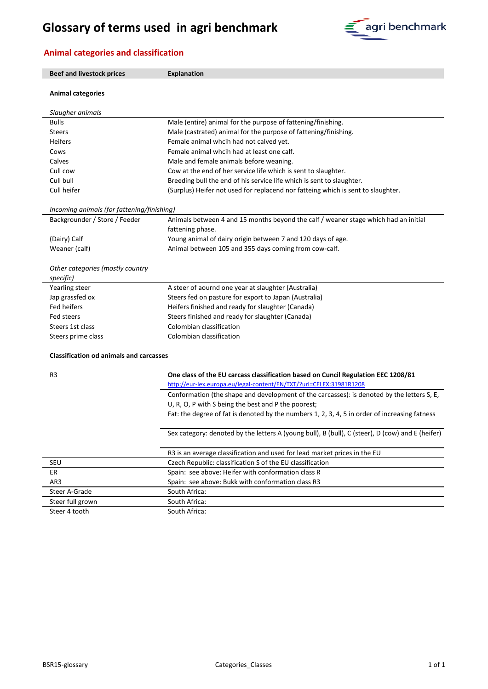# **Glossary of terms used in agri benchmark**



## **Animal categories and classification**

| <b>Beef and livestock prices</b>               | <b>Explanation</b>                                                                                                                                       |  |
|------------------------------------------------|----------------------------------------------------------------------------------------------------------------------------------------------------------|--|
| <b>Animal categories</b>                       |                                                                                                                                                          |  |
| Slaugher animals                               |                                                                                                                                                          |  |
| <b>Bulls</b>                                   | Male (entire) animal for the purpose of fattening/finishing.                                                                                             |  |
| <b>Steers</b>                                  | Male (castrated) animal for the purpose of fattening/finishing.                                                                                          |  |
| <b>Heifers</b>                                 | Female animal whcih had not calved yet.                                                                                                                  |  |
| Cows                                           | Female animal whcih had at least one calf.                                                                                                               |  |
| Calves                                         | Male and female animals before weaning.                                                                                                                  |  |
| Cull cow                                       | Cow at the end of her service life which is sent to slaughter.                                                                                           |  |
| Cull bull                                      | Breeding bull the end of his service life which is sent to slaughter.                                                                                    |  |
| Cull heifer                                    | (Surplus) Heifer not used for replacend nor fatteing which is sent to slaughter.                                                                         |  |
| Incoming animals (for fattening/finishing)     |                                                                                                                                                          |  |
| Backgrounder / Store / Feeder                  | Animals between 4 and 15 months beyond the calf / weaner stage which had an initial<br>fattening phase.                                                  |  |
| (Dairy) Calf                                   | Young animal of dairy origin between 7 and 120 days of age.                                                                                              |  |
| Weaner (calf)                                  | Animal between 105 and 355 days coming from cow-calf.                                                                                                    |  |
| Other categories (mostly country<br>specific)  |                                                                                                                                                          |  |
| Yearling steer                                 | A steer of aournd one year at slaughter (Australia)                                                                                                      |  |
| Jap grassfed ox                                | Steers fed on pasture for export to Japan (Australia)                                                                                                    |  |
| Fed heifers                                    | Heifers finished and ready for slaughter (Canada)                                                                                                        |  |
| Fed steers                                     | Steers finished and ready for slaughter (Canada)                                                                                                         |  |
| Steers 1st class                               | Colombian classification                                                                                                                                 |  |
| Steers prime class                             | Colombian classification                                                                                                                                 |  |
| <b>Classification od animals and carcasses</b> |                                                                                                                                                          |  |
| R3                                             | One class of the EU carcass classification based on Cuncil Regulation EEC 1208/81<br>http://eur-lex.europa.eu/legal-content/EN/TXT/?uri=CELEX:31981R1208 |  |
|                                                | Conformation (the shape and development of the carcasses): is denoted by the letters S, E,                                                               |  |
|                                                | U, R, O, P with S being the best and P the poorest;<br>Fat: the degree of fat is denoted by the numbers 1, 2, 3, 4, 5 in order of increasing fatness     |  |
|                                                | Sex category: denoted by the letters A (young bull), B (bull), C (steer), D (cow) and E (heifer)                                                         |  |
|                                                | R3 is an average classification and used for lead market prices in the EU                                                                                |  |
| SEU                                            | Czech Republic: classification S of the EU classification                                                                                                |  |
| ER                                             | Spain: see above: Heifer with conformation class R                                                                                                       |  |
| AR3                                            | Spain: see above: Bukk with conformation class R3                                                                                                        |  |
| Steer A-Grade                                  | South Africa:                                                                                                                                            |  |
| Steer full grown                               | South Africa:                                                                                                                                            |  |
| Steer 4 tooth                                  | South Africa:                                                                                                                                            |  |